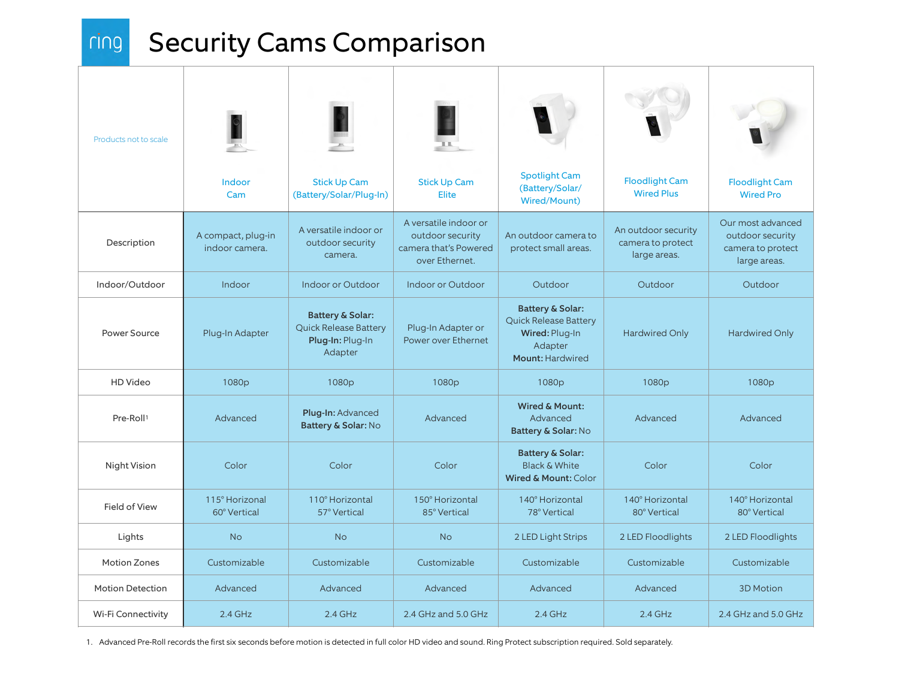$ring$ 

## Security Cams Comparison

| Products not to scale   |                                      |                                                                                            |                                                                                      |                                                                                                              |                                                          |                                                                            |
|-------------------------|--------------------------------------|--------------------------------------------------------------------------------------------|--------------------------------------------------------------------------------------|--------------------------------------------------------------------------------------------------------------|----------------------------------------------------------|----------------------------------------------------------------------------|
|                         | Indoor<br>Cam                        | <b>Stick Up Cam</b><br>(Battery/Solar/Plug-In)                                             | <b>Stick Up Cam</b><br><b>Elite</b>                                                  | <b>Spotlight Cam</b><br>(Battery/Solar/<br>Wired/Mount)                                                      | <b>Floodlight Cam</b><br><b>Wired Plus</b>               | <b>Floodlight Cam</b><br><b>Wired Pro</b>                                  |
| Description             | A compact, plug-in<br>indoor camera. | A versatile indoor or<br>outdoor security<br>camera.                                       | A versatile indoor or<br>outdoor security<br>camera that's Powered<br>over Ethernet. | An outdoor camera to<br>protect small areas.                                                                 | An outdoor security<br>camera to protect<br>large areas. | Our most advanced<br>outdoor security<br>camera to protect<br>large areas. |
| Indoor/Outdoor          | Indoor                               | Indoor or Outdoor                                                                          | Indoor or Outdoor                                                                    | Outdoor                                                                                                      | Outdoor                                                  | Outdoor                                                                    |
| Power Source            | Plug-In Adapter                      | <b>Battery &amp; Solar:</b><br><b>Quick Release Battery</b><br>Plug-In: Plug-In<br>Adapter | Plug-In Adapter or<br>Power over Ethernet                                            | <b>Battery &amp; Solar:</b><br><b>Quick Release Battery</b><br>Wired: Plug-In<br>Adapter<br>Mount: Hardwired | <b>Hardwired Only</b>                                    | <b>Hardwired Only</b>                                                      |
| HD Video                | 1080p                                | 1080p                                                                                      | 1080 <sub>p</sub>                                                                    | 1080p                                                                                                        | 1080p                                                    | 1080p                                                                      |
| Pre-Roll <sup>1</sup>   | Advanced                             | Plug-In: Advanced<br>Battery & Solar: No                                                   | Advanced                                                                             | <b>Wired &amp; Mount:</b><br>Advanced<br>Battery & Solar: No                                                 | Advanced                                                 | Advanced                                                                   |
| Night Vision            | Color                                | Color                                                                                      | Color                                                                                | <b>Battery &amp; Solar:</b><br><b>Black &amp; White</b><br>Wired & Mount: Color                              | Color                                                    | Color                                                                      |
| Field of View           | 115° Horizonal<br>60° Vertical       | 110° Horizontal<br>57° Vertical                                                            | 150° Horizontal<br>85° Vertical                                                      | 140° Horizontal<br>78° Vertical                                                                              | 140° Horizontal<br>80° Vertical                          | 140° Horizontal<br>80° Vertical                                            |
| Lights                  | <b>No</b>                            | <b>No</b>                                                                                  | <b>No</b>                                                                            | 2 LED Light Strips                                                                                           | 2 LED Floodlights                                        | 2 LED Floodlights                                                          |
| <b>Motion Zones</b>     | Customizable                         | Customizable                                                                               | Customizable                                                                         | Customizable                                                                                                 | Customizable                                             | Customizable                                                               |
| <b>Motion Detection</b> | Advanced                             | Advanced                                                                                   | Advanced                                                                             | Advanced                                                                                                     | Advanced                                                 | <b>3D Motion</b>                                                           |
| Wi-Fi Connectivity      | $2.4$ GHz                            | $2.4$ GHz                                                                                  | 2.4 GHz and 5.0 GHz                                                                  | $2.4$ GHz                                                                                                    | $2.4$ GHz                                                | 2.4 GHz and 5.0 GHz                                                        |

1. Advanced Pre-Roll records the first six seconds before motion is detected in full color HD video and sound. Ring Protect subscription required. Sold separately.